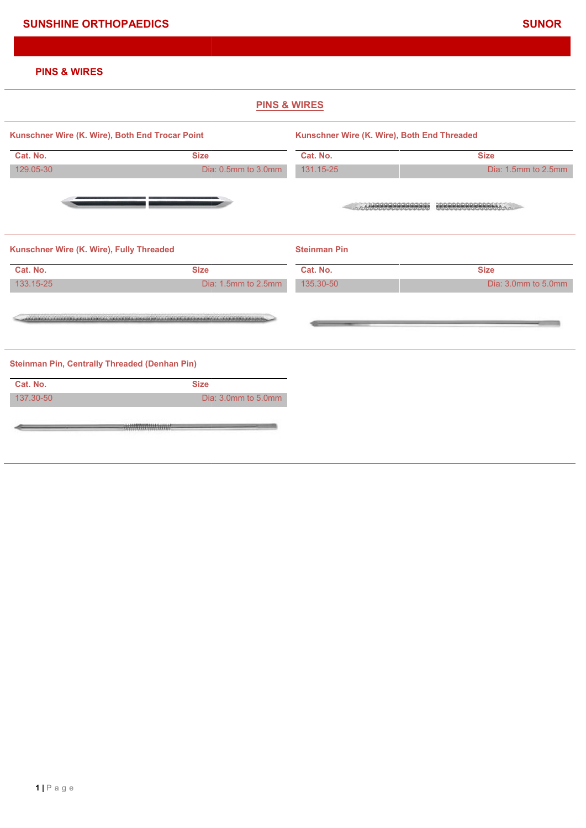# **PINS & WIRES**

|                                                      |                                        | <b>PINS &amp; WIRES</b>                     |                     |
|------------------------------------------------------|----------------------------------------|---------------------------------------------|---------------------|
| Kunschner Wire (K. Wire), Both End Trocar Point      |                                        | Kunschner Wire (K. Wire), Both End Threaded |                     |
| Cat. No.                                             | <b>Size</b>                            | Cat. No.                                    | <b>Size</b>         |
| 129.05-30                                            | Dia: 0.5mm to 3.0mm                    | 131.15-25                                   | Dia: 1.5mm to 2.5mm |
|                                                      |                                        |                                             | COORDINATIONS       |
| Kunschner Wire (K. Wire), Fully Threaded             |                                        | <b>Steinman Pin</b>                         |                     |
| Cat. No.                                             | <b>Size</b>                            | Cat. No.                                    | <b>Size</b>         |
| 133.15-25                                            | Dia: 1.5mm to 2.5mm                    | 135.30-50                                   | Dia: 3.0mm to 5.0mm |
|                                                      |                                        |                                             |                     |
| <b>Steinman Pin, Centrally Threaded (Denhan Pin)</b> |                                        |                                             |                     |
| Cat. No.                                             | <b>Size</b>                            |                                             |                     |
| 137.30-50                                            | Dia: 3.0mm to 5.0mm                    |                                             |                     |
|                                                      | ************************************** |                                             |                     |
|                                                      |                                        |                                             |                     |
|                                                      |                                        |                                             |                     |
|                                                      |                                        |                                             |                     |
|                                                      |                                        |                                             |                     |
|                                                      |                                        |                                             |                     |
|                                                      |                                        |                                             |                     |
|                                                      |                                        |                                             |                     |
|                                                      |                                        |                                             |                     |
|                                                      |                                        |                                             |                     |
|                                                      |                                        |                                             |                     |
|                                                      |                                        |                                             |                     |
|                                                      |                                        |                                             |                     |
|                                                      |                                        |                                             |                     |
|                                                      |                                        |                                             |                     |
|                                                      |                                        |                                             |                     |
|                                                      |                                        |                                             |                     |
|                                                      |                                        |                                             |                     |
|                                                      |                                        |                                             |                     |
|                                                      |                                        |                                             |                     |
|                                                      |                                        |                                             |                     |
|                                                      |                                        |                                             |                     |
| $1 \mid P$ a g e                                     |                                        |                                             |                     |
|                                                      |                                        |                                             |                     |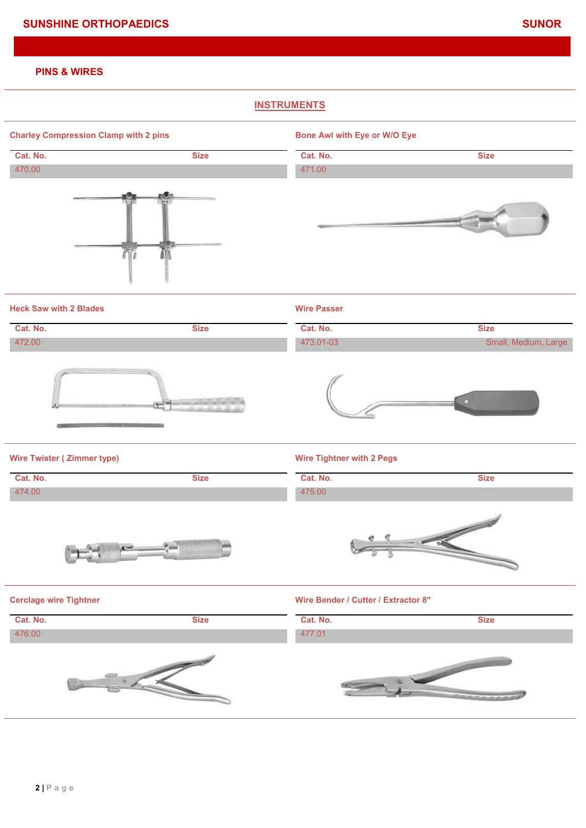### **PINS & WIRES**

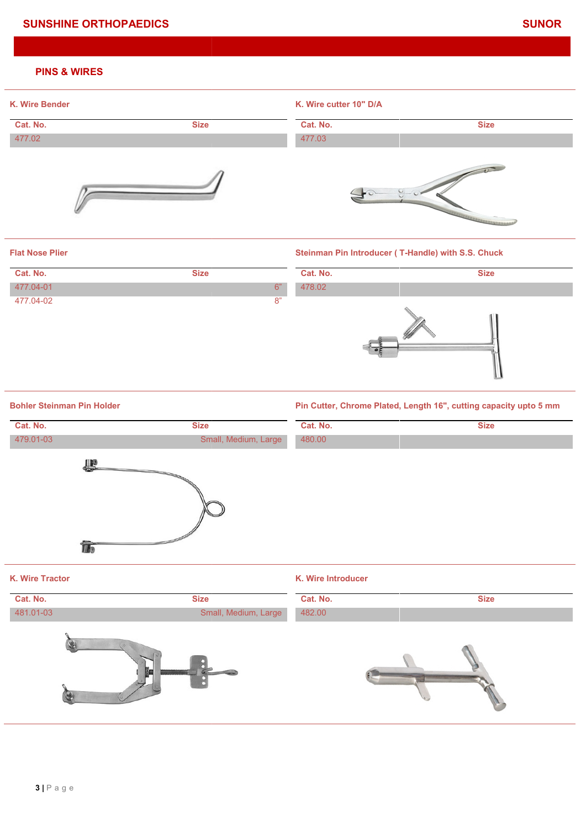# **SUNSHINE ORTHOPAEDICS SUNOR SUNSHINE**

#### **PINS & WIRES**



#### **Flat Nose Plier**

# **Cat. No. Size 477.04-01** 6" 477.04-02 8" 478.02

#### **Steinman Pin Introducer ( T-Handle) with S.S. Chuck**



**Bohler Steinman Pin Holder**

#### **Pin Cutter, Chrome Plated, Length 16", cutting capacity upto 5 mm**

| <b>Size</b>          | Cat. No.           | <b>Size</b>                                                       |  |
|----------------------|--------------------|-------------------------------------------------------------------|--|
|                      | 478.02             |                                                                   |  |
|                      |                    |                                                                   |  |
|                      |                    | Pin Cutter, Chrome Plated, Length 16", cutting capacity upto 5 mm |  |
| <b>Size</b>          | Cat. No.           | <b>Size</b>                                                       |  |
|                      | 480.00             |                                                                   |  |
|                      |                    |                                                                   |  |
|                      | K. Wire Introducer |                                                                   |  |
| <b>Size</b>          | Cat. No.           | <b>Size</b>                                                       |  |
| Small, Medium, Large | 482.00             |                                                                   |  |
|                      |                    |                                                                   |  |
|                      |                    | $6"$<br>8"<br>Small, Medium, Large                                |  |